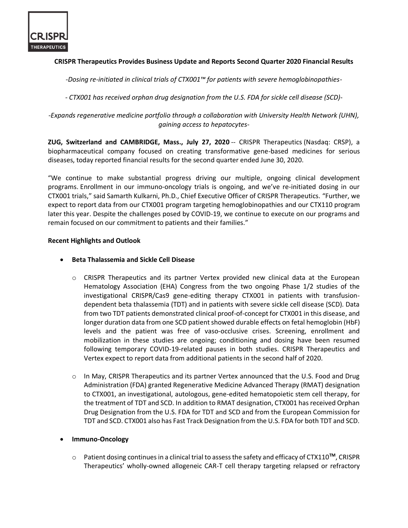

# **CRISPR Therapeutics Provides Business Update and Reports Second Quarter 2020 Financial Results**

*-Dosing re-initiated in clinical trials of CTX001™ for patients with severe hemoglobinopathies-*

*- CTX001 has received orphan drug designation from the U.S. FDA for sickle cell disease (SCD)-*

*-Expands regenerative medicine portfolio through a collaboration with University Health Network (UHN), gaining access to hepatocytes-*

**ZUG, Switzerland and CAMBRIDGE, Mass., July 27, 2020** -- CRISPR Therapeutics (Nasdaq: CRSP), a biopharmaceutical company focused on creating transformative gene-based medicines for serious diseases, today reported financial results for the second quarter ended June 30, 2020.

"We continue to make substantial progress driving our multiple, ongoing clinical development programs. Enrollment in our immuno-oncology trials is ongoing, and we've re-initiated dosing in our CTX001 trials," said Samarth Kulkarni, Ph.D., Chief Executive Officer of CRISPR Therapeutics. "Further, we expect to report data from our CTX001 program targeting hemoglobinopathies and our CTX110 program later this year. Despite the challenges posed by COVID-19, we continue to execute on our programs and remain focused on our commitment to patients and their families."

#### **Recent Highlights and Outlook**

- **Beta Thalassemia and Sickle Cell Disease**
	- o CRISPR Therapeutics and its partner Vertex provided new clinical data at the European Hematology Association (EHA) Congress from the two ongoing Phase 1/2 studies of the investigational CRISPR/Cas9 gene-editing therapy CTX001 in patients with transfusiondependent beta thalassemia (TDT) and in patients with severe sickle cell disease (SCD). Data from two TDT patients demonstrated clinical proof-of-concept for CTX001 in this disease, and longer duration data from one SCD patient showed durable effects on fetal hemoglobin (HbF) levels and the patient was free of vaso-occlusive crises. Screening, enrollment and mobilization in these studies are ongoing; conditioning and dosing have been resumed following temporary COVID-19-related pauses in both studies. CRISPR Therapeutics and Vertex expect to report data from additional patients in the second half of 2020.
	- $\circ$  In May, CRISPR Therapeutics and its partner Vertex announced that the U.S. Food and Drug Administration (FDA) granted Regenerative Medicine Advanced Therapy (RMAT) designation to CTX001, an investigational, autologous, gene-edited hematopoietic stem cell therapy, for the treatment of TDT and SCD. In addition to RMAT designation, CTX001 has received Orphan Drug Designation from the U.S. FDA for TDT and SCD and from the European Commission for TDT and SCD. CTX001 also has Fast Track Designation from the U.S. FDA for both TDT and SCD.
- **Immuno-Oncology**
	- o Patient dosing continuesin a clinical trial to assess the safety and efficacy of CTX110**TM**, CRISPR Therapeutics' wholly-owned allogeneic CAR-T cell therapy targeting relapsed or refractory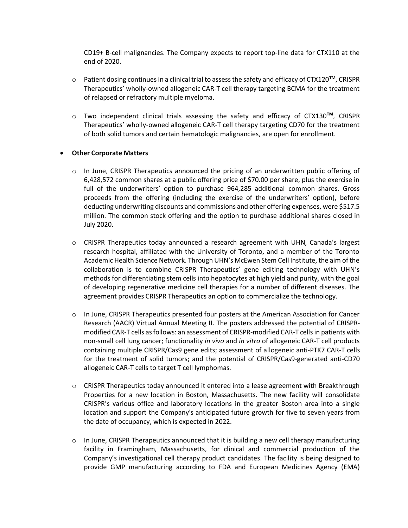CD19+ B-cell malignancies. The Company expects to report top-line data for CTX110 at the end of 2020.

- o Patient dosing continues in a clinical trial to assess the safety and efficacy of CTX120**TM**, CRISPR Therapeutics' wholly-owned allogeneic CAR-T cell therapy targeting BCMA for the treatment of relapsed or refractory multiple myeloma.
- o Two independent clinical trials assessing the safety and efficacy of CTX130**TM**, CRISPR Therapeutics' wholly-owned allogeneic CAR-T cell therapy targeting CD70 for the treatment of both solid tumors and certain hematologic malignancies, are open for enrollment.

## • **Other Corporate Matters**

- o In June, CRISPR Therapeutics announced the pricing of an underwritten public offering of 6,428,572 common shares at a public offering price of \$70.00 per share, plus the exercise in full of the underwriters' option to purchase 964,285 additional common shares. Gross proceeds from the offering (including the exercise of the underwriters' option), before deducting underwriting discounts and commissions and other offering expenses, were \$517.5 million. The common stock offering and the option to purchase additional shares closed in July 2020.
- $\circ$  CRISPR Therapeutics today announced a research agreement with UHN, Canada's largest research hospital, affiliated with the University of Toronto, and a member of the Toronto Academic Health Science Network. Through UHN's McEwen Stem Cell Institute, the aim of the collaboration is to combine CRISPR Therapeutics' gene editing technology with UHN's methods for differentiating stem cells into hepatocytes at high yield and purity, with the goal of developing regenerative medicine cell therapies for a number of different diseases. The agreement provides CRISPR Therapeutics an option to commercialize the technology.
- o In June, CRISPR Therapeutics presented four posters at the American Association for Cancer Research (AACR) Virtual Annual Meeting II. The posters addressed the potential of CRISPRmodified CAR-T cells as follows: an assessment of CRISPR-modified CAR-T cells in patients with non-small cell lung cancer; functionality *in vivo* and *in vitro* of allogeneic CAR-T cell products containing multiple CRISPR/Cas9 gene edits; assessment of allogeneic anti-PTK7 CAR-T cells for the treatment of solid tumors; and the potential of CRISPR/Cas9-generated anti-CD70 allogeneic CAR-T cells to target T cell lymphomas.
- o CRISPR Therapeutics today announced it entered into a lease agreement with Breakthrough Properties for a new location in Boston, Massachusetts. The new facility will consolidate CRISPR's various office and laboratory locations in the greater Boston area into a single location and support the Company's anticipated future growth for five to seven years from the date of occupancy, which is expected in 2022.
- $\circ$  In June, CRISPR Therapeutics announced that it is building a new cell therapy manufacturing facility in Framingham, Massachusetts, for clinical and commercial production of the Company's investigational cell therapy product candidates. The facility is being designed to provide GMP manufacturing according to FDA and European Medicines Agency (EMA)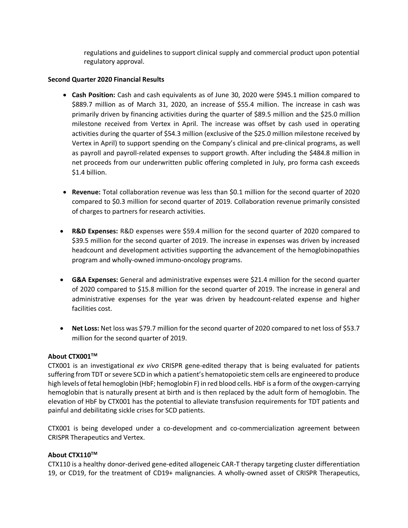regulations and guidelines to support clinical supply and commercial product upon potential regulatory approval.

## **Second Quarter 2020 Financial Results**

- **Cash Position:** Cash and cash equivalents as of June 30, 2020 were \$945.1 million compared to \$889.7 million as of March 31, 2020, an increase of \$55.4 million. The increase in cash was primarily driven by financing activities during the quarter of \$89.5 million and the \$25.0 million milestone received from Vertex in April. The increase was offset by cash used in operating activities during the quarter of \$54.3 million (exclusive of the \$25.0 million milestone received by Vertex in April) to support spending on the Company's clinical and pre-clinical programs, as well as payroll and payroll-related expenses to support growth. After including the \$484.8 million in net proceeds from our underwritten public offering completed in July, pro forma cash exceeds \$1.4 billion.
- **Revenue:** Total collaboration revenue was less than \$0.1 million for the second quarter of 2020 compared to \$0.3 million for second quarter of 2019. Collaboration revenue primarily consisted of charges to partners for research activities.
- **R&D Expenses:** R&D expenses were \$59.4 million for the second quarter of 2020 compared to \$39.5 million for the second quarter of 2019. The increase in expenses was driven by increased headcount and development activities supporting the advancement of the hemoglobinopathies program and wholly-owned immuno-oncology programs.
- **G&A Expenses:** General and administrative expenses were \$21.4 million for the second quarter of 2020 compared to \$15.8 million for the second quarter of 2019. The increase in general and administrative expenses for the year was driven by headcount-related expense and higher facilities cost.
- **Net Loss:** Net loss was \$79.7 million for the second quarter of 2020 compared to net loss of \$53.7 million for the second quarter of 2019.

## **About CTX001TM**

CTX001 is an investigational *ex vivo* CRISPR gene-edited therapy that is being evaluated for patients suffering from TDT or severe SCD in which a patient's hematopoietic stem cells are engineered to produce high levels of fetal hemoglobin (HbF; hemoglobin F) in red blood cells. HbF is a form of the oxygen-carrying hemoglobin that is naturally present at birth and is then replaced by the adult form of hemoglobin. The elevation of HbF by CTX001 has the potential to alleviate transfusion requirements for TDT patients and painful and debilitating sickle crises for SCD patients.

CTX001 is being developed under a co-development and co-commercialization agreement between CRISPR Therapeutics and Vertex.

## **About CTX110TM**

CTX110 is a healthy donor-derived gene-edited allogeneic CAR-T therapy targeting cluster differentiation 19, or CD19, for the treatment of CD19+ malignancies. A wholly-owned asset of CRISPR Therapeutics,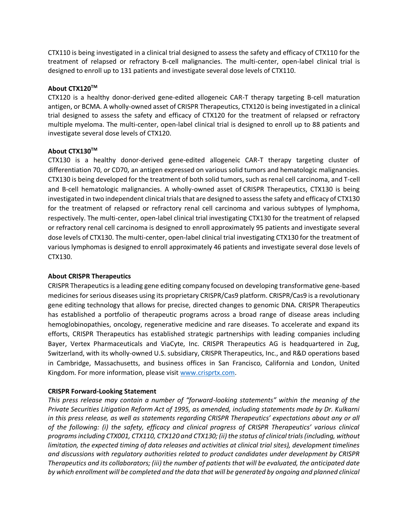CTX110 is being investigated in a clinical trial designed to assess the safety and efficacy of CTX110 for the treatment of relapsed or refractory B-cell malignancies. The multi-center, open-label clinical trial is designed to enroll up to 131 patients and investigate several dose levels of CTX110.

## **About CTX120TM**

CTX120 is a healthy donor-derived gene-edited allogeneic CAR-T therapy targeting B-cell maturation antigen, or BCMA. A wholly-owned asset of CRISPR Therapeutics, CTX120 is being investigated in a clinical trial designed to assess the safety and efficacy of CTX120 for the treatment of relapsed or refractory multiple myeloma. The multi-center, open-label clinical trial is designed to enroll up to 88 patients and investigate several dose levels of CTX120.

## **About CTX130TM**

CTX130 is a healthy donor-derived gene-edited allogeneic CAR-T therapy targeting cluster of differentiation 70, or CD70, an antigen expressed on various solid tumors and hematologic malignancies. CTX130 is being developed for the treatment of both solid tumors, such as renal cell carcinoma, and T-cell and B-cell hematologic malignancies. A wholly-owned asset of CRISPR Therapeutics, CTX130 is being investigated in two independent clinical trials that are designed to assess the safety and efficacy of CTX130 for the treatment of relapsed or refractory renal cell carcinoma and various subtypes of lymphoma, respectively. The multi-center, open-label clinical trial investigating CTX130 for the treatment of relapsed or refractory renal cell carcinoma is designed to enroll approximately 95 patients and investigate several dose levels of CTX130. The multi-center, open-label clinical trial investigating CTX130 for the treatment of various lymphomas is designed to enroll approximately 46 patients and investigate several dose levels of CTX130.

## **About CRISPR Therapeutics**

CRISPR Therapeutics is a leading gene editing company focused on developing transformative gene-based medicines for serious diseases using its proprietary CRISPR/Cas9 platform. CRISPR/Cas9 is a revolutionary gene editing technology that allows for precise, directed changes to genomic DNA. CRISPR Therapeutics has established a portfolio of therapeutic programs across a broad range of disease areas including hemoglobinopathies, oncology, regenerative medicine and rare diseases. To accelerate and expand its efforts, CRISPR Therapeutics has established strategic partnerships with leading companies including Bayer, Vertex Pharmaceuticals and ViaCyte, Inc. CRISPR Therapeutics AG is headquartered in Zug, Switzerland, with its wholly-owned U.S. subsidiary, CRISPR Therapeutics, Inc., and R&D operations based in Cambridge, Massachusetts, and business offices in San Francisco, California and London, United Kingdom. For more information, please visi[t www.crisprtx.com.](http://www.crisprtx.com/)

## **CRISPR Forward-Looking Statement**

*This press release may contain a number of "forward-looking statements" within the meaning of the Private Securities Litigation Reform Act of 1995, as amended, including statements made by Dr. Kulkarni in this press release, as well as statements regarding CRISPR Therapeutics' expectations about any or all of the following: (i) the safety, efficacy and clinical progress of CRISPR Therapeutics' various clinical programs including CTX001, CTX110, CTX120 and CTX130; (ii) the status of clinical trials (including, without limitation, the expected timing of data releases and activities at clinical trial sites), development timelines and discussions with regulatory authorities related to product candidates under development by CRISPR Therapeutics and its collaborators; (iii) the number of patients that will be evaluated, the anticipated date by which enrollment will be completed and the data that will be generated by ongoing and planned clinical*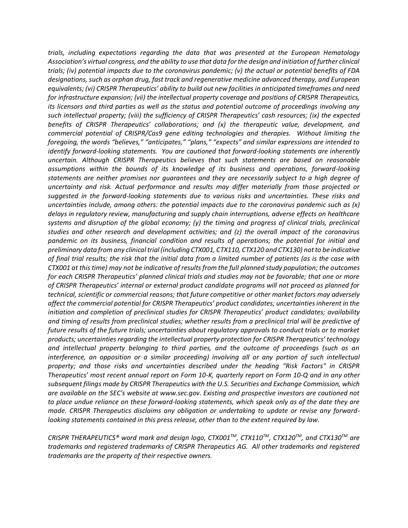*trials, including expectations regarding the data that was presented at the European Hematology Association's virtual congress, and the ability to use that data for the design and initiation of further clinical trials; (iv) potential impacts due to the coronavirus pandemic; (v) the actual or potential benefits of FDA designations, such as orphan drug, fast track and regenerative medicine advanced therapy, and European equivalents; (vi) CRISPR Therapeutics' ability to build out new facilities in anticipated timeframes and need for infrastructure expansion; (vii) the intellectual property coverage and positions of CRISPR Therapeutics, its licensors and third parties as well as the status and potential outcome of proceedings involving any such intellectual property; (viii) the sufficiency of CRISPR Therapeutics' cash resources; (ix) the expected benefits of CRISPR Therapeutics' collaborations; and (x) the therapeutic value, development, and commercial potential of CRISPR/Cas9 gene editing technologies and therapies. Without limiting the foregoing, the words "believes," "anticipates," "plans," "expects" and similar expressions are intended to identify forward-looking statements. You are cautioned that forward-looking statements are inherently uncertain. Although CRISPR Therapeutics believes that such statements are based on reasonable assumptions within the bounds of its knowledge of its business and operations, forward-looking statements are neither promises nor guarantees and they are necessarily subject to a high degree of uncertainty and risk. Actual performance and results may differ materially from those projected or suggested in the forward-looking statements due to various risks and uncertainties. These risks and uncertainties include, among others: the potential impacts due to the coronavirus pandemic such as (x) delays in regulatory review, manufacturing and supply chain interruptions, adverse effects on healthcare systems and disruption of the global economy; (y) the timing and progress of clinical trials, preclinical studies and other research and development activities; and (z) the overall impact of the coronavirus pandemic on its business, financial condition and results of operations; the potential for initial and preliminary data from any clinical trial (including CTX001, CTX110, CTX120 and CTX130) not to be indicative of final trial results; the risk that the initial data from a limited number of patients (as is the case with CTX001 at this time) may not be indicative of results from the full planned study population; the outcomes for each CRISPR Therapeutics' planned clinical trials and studies may not be favorable; that one or more of CRISPR Therapeutics' internal or external product candidate programs will not proceed as planned for technical, scientific or commercial reasons; that future competitive or other market factors may adversely affect the commercial potential for CRISPR Therapeutics' product candidates; uncertainties inherent in the initiation and completion of preclinical studies for CRISPR Therapeutics' product candidates; availability and timing of results from preclinical studies; whether results from a preclinical trial will be predictive of future results of the future trials; uncertainties about regulatory approvals to conduct trials or to market products; uncertainties regarding the intellectual property protection for CRISPR Therapeutics' technology and intellectual property belonging to third parties, and the outcome of proceedings (such as an interference, an opposition or a similar proceeding) involving all or any portion of such intellectual property; and those risks and uncertainties described under the heading "Risk Factors" in CRISPR Therapeutics' most recent annual report on Form 10-K, quarterly report on Form 10-Q and in any other subsequent filings made by CRISPR Therapeutics with the U.S. Securities and Exchange Commission, which are available on the SEC's website at www.sec.gov. Existing and prospective investors are cautioned not to place undue reliance on these forward-looking statements, which speak only as of the date they are made. CRISPR Therapeutics disclaims any obligation or undertaking to update or revise any forwardlooking statements contained in this press release, other than to the extent required by law.* 

*CRISPR THERAPEUTICS® word mark and design logo, CTX001TM, CTX110TM, CTX120TM, and CTX130TM are trademarks and registered trademarks of CRISPR Therapeutics AG. All other trademarks and registered trademarks are the property of their respective owners.*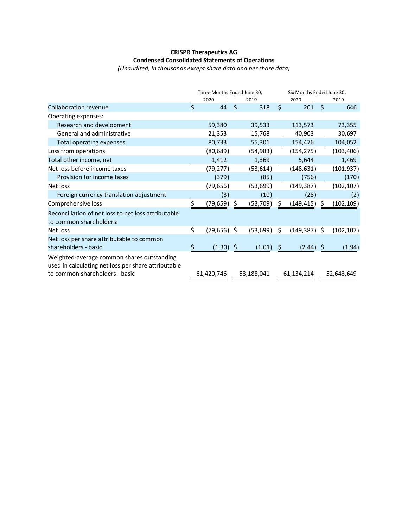# **CRISPR Therapeutics AG Condensed Consolidated Statements of Operations**

*(Unaudited, In thousands except share data and per share data)*

|                                                                                                                                     | Three Months Ended June 30, |    |            |    | Six Months Ended June 30, |     |            |  |
|-------------------------------------------------------------------------------------------------------------------------------------|-----------------------------|----|------------|----|---------------------------|-----|------------|--|
|                                                                                                                                     | 2020                        |    | 2019       |    | 2020                      |     | 2019       |  |
| Collaboration revenue                                                                                                               | \$<br>44                    | \$ | 318        | Ś. | 201                       | \$  | 646        |  |
| Operating expenses:                                                                                                                 |                             |    |            |    |                           |     |            |  |
| Research and development                                                                                                            | 59,380                      |    | 39,533     |    | 113,573                   |     | 73,355     |  |
| General and administrative                                                                                                          | 21,353                      |    | 15,768     |    | 40,903                    |     | 30,697     |  |
| Total operating expenses                                                                                                            | 80,733                      |    | 55,301     |    | 154,476                   |     | 104,052    |  |
| Loss from operations                                                                                                                | (80, 689)                   |    | (54, 983)  |    | (154, 275)                |     | (103, 406) |  |
| Total other income, net                                                                                                             | 1,412                       |    | 1,369      |    | 5,644                     |     | 1,469      |  |
| Net loss before income taxes                                                                                                        | (79, 277)                   |    | (53, 614)  |    | (148, 631)                |     | (101, 937) |  |
| Provision for income taxes                                                                                                          | (379)                       |    | (85)       |    | (756)                     |     | (170)      |  |
| Net loss                                                                                                                            | (79, 656)                   |    | (53, 699)  |    | (149, 387)                |     | (102, 107) |  |
| Foreign currency translation adjustment                                                                                             | (3)                         |    | (10)       |    | (28)                      |     | (2)        |  |
| Comprehensive loss                                                                                                                  | \$<br>(79,659)              | \$ | (53, 709)  | Ś. | (149,415)                 | Ś.  | (102, 109) |  |
| Reconciliation of net loss to net loss attributable<br>to common shareholders:                                                      |                             |    |            |    |                           |     |            |  |
| Net loss                                                                                                                            | \$<br>$(79,656)$ \$         |    | (53, 699)  | \$ | $(149, 387)$ \$           |     | (102, 107) |  |
| Net loss per share attributable to common<br>shareholders - basic                                                                   | (1.30)                      | Ş  | (1.01)     | \$ | (2.44)                    | \$. | (1.94)     |  |
| Weighted-average common shares outstanding<br>used in calculating net loss per share attributable<br>to common shareholders - basic | 61,420,746                  |    | 53,188,041 |    | 61,134,214                |     | 52,643,649 |  |